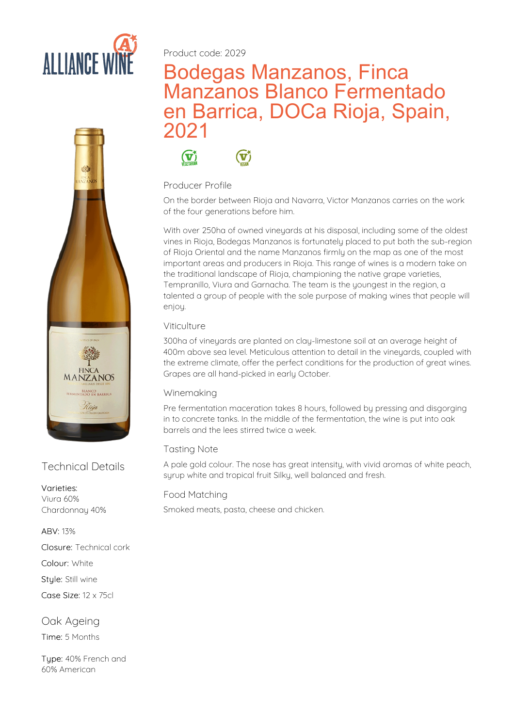



#### Varieties: Viura60%

Chardonnay 40%

#### ABV: 13%

Closure: Technical cork

Colour: White

Style: Still wine

Case Size: 12 x 75cl

Oak Ageing Time: 5 Months

Tupe: 40% French and 60% American

Product code: 2029

# Bodegas Manzanos, Finca Manzanos Blanco Fermentado en Barrica, DOCa Rioja, Spain, 2021

 $\mathbf{G}^*$  $\mathbf{G}^*$ 

# Producer Profile

On the border between Rioja and Navarra, Victor Manzanos carries on the work of the four generations before him.

With over 250ha of owned vineyards at his disposal, including some of the oldest vines in Rioja, Bodegas Manzanos is fortunately placed to put both the sub-region of Rioja Oriental and the name Manzanos firmly on the map as one of the most important areas and producers in Rioja. This range of wines is a modern take on the traditional landscape of Rioja, championing the native grape varieties, Tempranillo, Viura and Garnacha. The team is the youngest in the region, a talented a group of people with the sole purpose of making wines that people will enjoy.

# Viticulture

300ha of vineyards are planted on clay-limestone soil at an average height of 400m above sea level. Meticulous attention to detail in the vineyards, coupled with the extreme climate, offer the perfect conditions for the production of great wines. Grapes are all hand-picked in early October.

### Winemaking

Pre fermentation maceration takes 8 hours, followed by pressing and disgorging in to concrete tanks. In the middle of the fermentation, the wine is put into oak barrels and the lees stirred twice a week.

### Tasting Note

Technical Details A pale gold colour. The nose has great intensity, with vivid a<br>syrup white and tropical fruit Silky, well balanced and fresh. A pale gold colour. The nose has great intensity, with vivid aromas of white peach,

### Food Matching

Smoked meats, pasta, cheese and chicken.